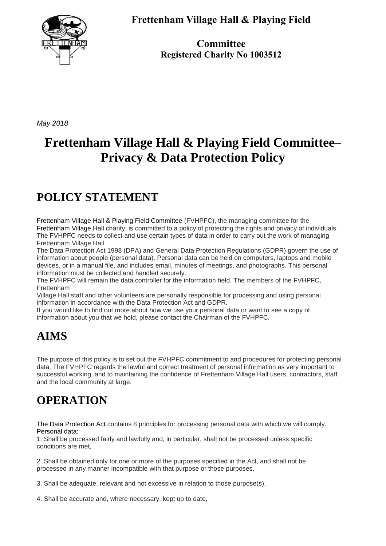

**Frettenham Village Hall & Playing Field** 

**Committee Registered Charity No 1003512**

*May 2018*

# **Frettenham Village Hall & Playing Field Committee– Privacy & Data Protection Policy**

## **POLICY STATEMENT**

Frettenham Village Hall & Playing Field Committee (FVHPFC), the managing committee for the Frettenham Village Hall charity, is committed to a policy of protecting the rights and privacy of individuals. The FVHPFC needs to collect and use certain types of data in order to carry out the work of managing Frettenham Village Hall.

The Data Protection Act 1998 (DPA) and General Data Protection Regulations (GDPR) govern the use of information about people (personal data). Personal data can be held on computers, laptops and mobile devices, or in a manual file, and includes email, minutes of meetings, and photographs. This personal information must be collected and handled securely.

The FVHPFC will remain the data controller for the information held. The members of the FVHPFC, Frettenham

Village Hall staff and other volunteers are personally responsible for processing and using personal information in accordance with the Data Protection Act and GDPR.

If you would like to find out more about how we use your personal data or want to see a copy of information about you that we hold, please contact the Chairman of the FVHPFC.

### **AIMS**

The purpose of this policy is to set out the FVHPFC commitment to and procedures for protecting personal data. The FVHPFC regards the lawful and correct treatment of personal information as very important to successful working, and to maintaining the confidence of Frettenham Village Hall users, contractors, staff and the local community at large.

# **OPERATION**

The Data Protection Act contains 8 principles for processing personal data with which we will comply. Personal data:

1. Shall be processed fairly and lawfully and, in particular, shall not be processed unless specific conditions are met,

2. Shall be obtained only for one or more of the purposes specified in the Act, and shall not be processed in any manner incompatible with that purpose or those purposes,

3. Shall be adequate, relevant and not excessive in relation to those purpose(s),

4. Shall be accurate and, where necessary, kept up to date,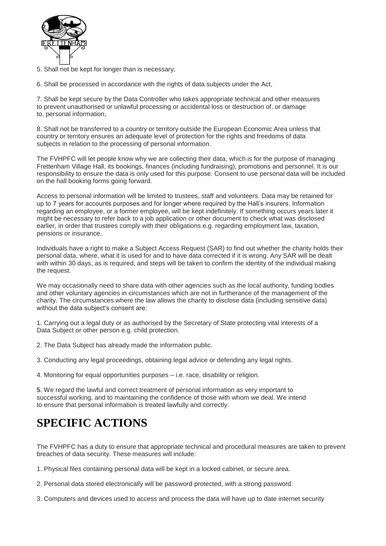

5. Shall not be kept for longer than is necessary,

6. Shall be processed in accordance with the rights of data subjects under the Act,

7. Shall be kept secure by the Data Controller who takes appropriate technical and other measures to prevent unauthorised or unlawful processing or accidental loss or destruction of, or damage to, personal information,

8. Shall not be transferred to a country or territory outside the European Economic Area unless that country or territory ensures an adequate level of protection for the rights and freedoms of data subjects in relation to the processing of personal information.

The FVHPFC will let people know why we are collecting their data, which is for the purpose of managing Frettenham Village Hall, its bookings, finances (including fundraising), promotions and personnel. It is our responsibility to ensure the data is only used for this purpose. Consent to use personal data will be included on the hall booking forms going forward.

Access to personal information will be limited to trustees, staff and volunteers. Data may be retained for up to 7 years for accounts purposes and for longer where required by the Hall's insurers. Information regarding an employee, or a former employee, will be kept indefinitely. If something occurs years later it might be necessary to refer back to a job application or other document to check what was disclosed earlier, in order that trustees comply with their obligations e.g. regarding employment law, taxation, pensions or insurance.

Individuals have a right to make a Subject Access Request (SAR) to find out whether the charity holds their personal data, where, what it is used for and to have data corrected if it is wrong. Any SAR will be dealt with within 30 days, as is required, and steps will be taken to confirm the identity of the individual making the request.

We may occasionally need to share data with other agencies such as the local authority, funding bodies and other voluntary agencies in circumstances which are not in furtherance of the management of the charity. The circumstances where the law allows the charity to disclose data (including sensitive data) without the data subject's consent are:

1. Carrying out a legal duty or as authorised by the Secretary of State protecting vital interests of a Data Subject or other person e.g. child protection.

2. The Data Subject has already made the information public.

3. Conducting any legal proceedings, obtaining legal advice or defending any legal rights.

4. Monitoring for equal opportunities purposes – i.e. race, disability or religion.

5. We regard the lawful and correct treatment of personal information as very important to successful working, and to maintaining the confidence of those with whom we deal. We intend to ensure that personal information is treated lawfully and correctly.

### **SPECIFIC ACTIONS**

The FVHPFC has a duty to ensure that appropriate technical and procedural measures are taken to prevent breaches of data security. These measures will include:

1. Physical files containing personal data will be kept in a locked cabinet, or secure area.

2. Personal data stored electronically will be password protected, with a strong password.

3. Computers and devices used to access and process the data will have up to date internet security